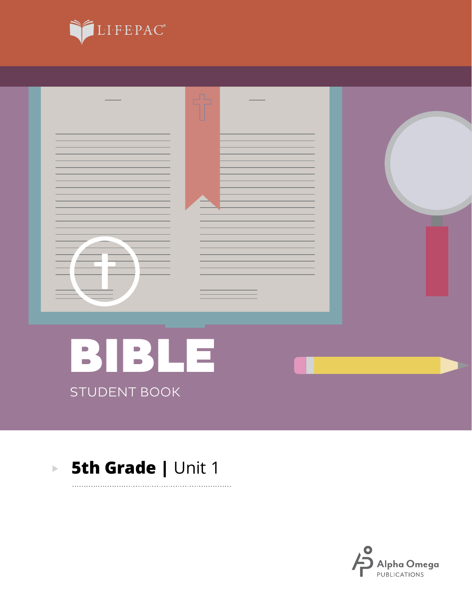



. . . . . . . . . . .

#### **5th Grade | Unit 1**  $\mathbf{E}^{(1)}$

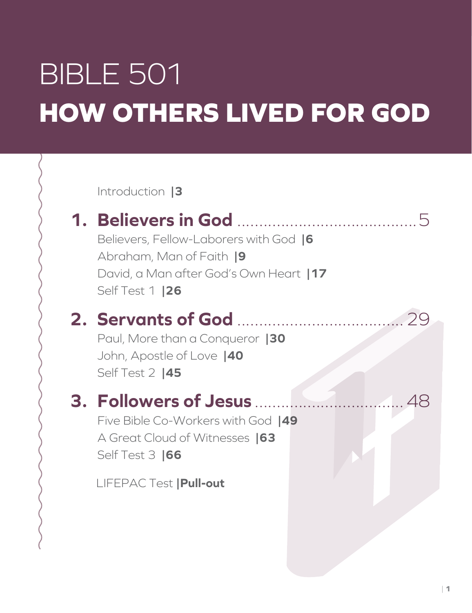# BIBLE 501 **HOW OTHERS LIVED FOR GOD**

Introduction **|3**

### **1. Believers in God** .........................................5

Believers, Fellow-Laborers with God **|6** Abraham, Man of Faith **|9** David, a Man after God's Own Heart **|17** Self Test 1 **|26**

### **2. Servants of God** ......................................29

Paul, More than a Conqueror **|30** John, Apostle of Love **|40** Self Test 2 **|45**

### **3. Followers of Jesus** ..................................48

Five Bible Co-Workers with God **|49** A Great Cloud of Witnesses **|63** Self Test 3 **|66**

LIFEPAC Test **|Pull-out**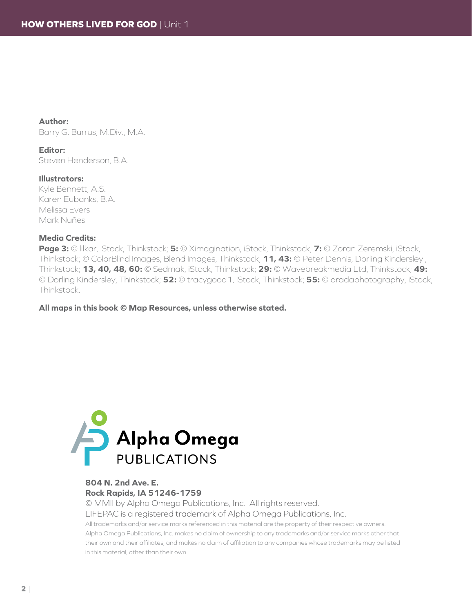**Author:** Barry G. Burrus, M.Div., M.A.

#### **Editor:**

Steven Henderson, B.A.

#### **Illustrators:**

Kyle Bennett, A.S. Karen Eubanks, B.A. Melissa Evers Mark Nuñes

#### **Media Credits:**

**Page 3:** © lilkar, iStock, Thinkstock; **5:** © Ximagination, iStock, Thinkstock; **7:** © Zoran Zeremski, iStock, Thinkstock; © ColorBlind Images, Blend Images, Thinkstock; **11, 43:** © Peter Dennis, Dorling Kindersley , Thinkstock; **13, 40, 48, 60:** © Sedmak, iStock, Thinkstock; **29:** © Wavebreakmedia Ltd, Thinkstock; **49:** © Dorling Kindersley, Thinkstock; **52:** © tracygood1, iStock, Thinkstock; **55:** © aradaphotography, iStock, Thinkstock.

**All maps in this book © Map Resources, unless otherwise stated.**



#### **804 N. 2nd Ave. E. Rock Rapids, IA 51246-1759**

© MMII by Alpha Omega Publications, Inc. All rights reserved. LIFEPAC is a registered trademark of Alpha Omega Publications, Inc.

All trademarks and/or service marks referenced in this material are the property of their respective owners. Alpha Omega Publications, Inc. makes no claim of ownership to any trademarks and/or service marks other that their own and their affiliates, and makes no claim of affiliation to any companies whose trademarks may be listed in this material, other than their own.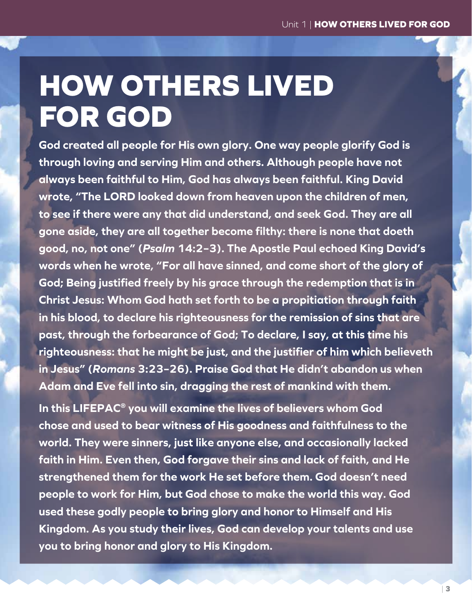## **HOW OTHERS LIVED FOR GOD**

**God created all people for His own glory. One way people glorify God is through loving and serving Him and others. Although people have not always been faithful to Him, God has always been faithful. King David wrote, "The LORD looked down from heaven upon the children of men, to see if there were any that did understand, and seek God. They are all gone aside, they are all together become filthy: there is none that doeth good, no, not one" (***Psalm* **14:2–3). The Apostle Paul echoed King David's words when he wrote, "For all have sinned, and come short of the glory of God; Being justified freely by his grace through the redemption that is in Christ Jesus: Whom God hath set forth to be a propitiation through faith in his blood, to declare his righteousness for the remission of sins that are past, through the forbearance of God; To declare, I say, at this time his righteousness: that he might be just, and the justifier of him which believeth in Jesus" (***Romans* **3:23–26). Praise God that He didn't abandon us when Adam and Eve fell into sin, dragging the rest of mankind with them.**

**In this LIFEPAC® you will examine the lives of believers whom God chose and used to bear witness of His goodness and faithfulness to the world. They were sinners, just like anyone else, and occasionally lacked faith in Him. Even then, God forgave their sins and lack of faith, and He strengthened them for the work He set before them. God doesn't need people to work for Him, but God chose to make the world this way. God used these godly people to bring glory and honor to Himself and His Kingdom. As you study their lives, God can develop your talents and use you to bring honor and glory to His Kingdom.**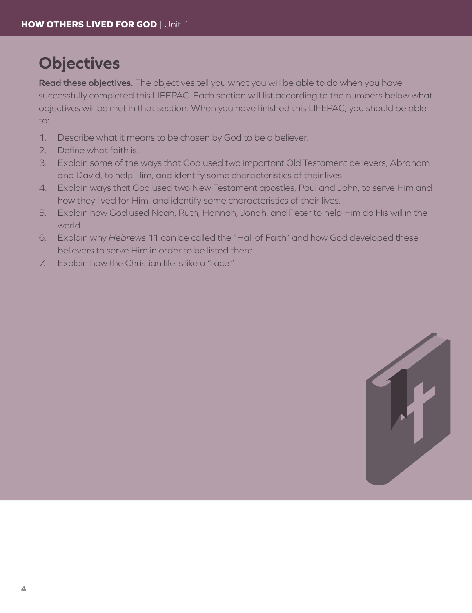### **Objectives**

**Read these objectives.** The objectives tell you what you will be able to do when you have successfully completed this LIFEPAC. Each section will list according to the numbers below what objectives will be met in that section. When you have finished this LIFEPAC, you should be able to:

- 1. Describe what it means to be chosen by God to be a believer.
- 2. Define what faith is.
- 3. Explain some of the ways that God used two important Old Testament believers, Abraham and David, to help Him, and identify some characteristics of their lives.
- 4. Explain ways that God used two New Testament apostles, Paul and John, to serve Him and how they lived for Him, and identify some characteristics of their lives.
- 5. Explain how God used Noah, Ruth, Hannah, Jonah, and Peter to help Him do His will in the world.
- 6. Explain why *Hebrews* 11 can be called the "Hall of Faith" and how God developed these believers to serve Him in order to be listed there.
- 7. Explain how the Christian life is like a "race."

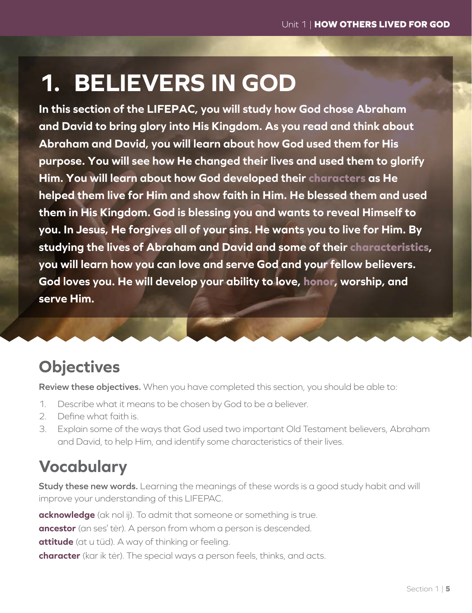### **1. BELIEVERS IN GOD**

**In this section of the LIFEPAC, you will study how God chose Abraham and David to bring glory into His Kingdom. As you read and think about Abraham and David, you will learn about how God used them for His purpose. You will see how He changed their lives and used them to glorify Him. You will learn about how God developed their characters as He helped them live for Him and show faith in Him. He blessed them and used them in His Kingdom. God is blessing you and wants to reveal Himself to you. In Jesus, He forgives all of your sins. He wants you to live for Him. By studying the lives of Abraham and David and some of their characteristics, you will learn how you can love and serve God and your fellow believers. God loves you. He will develop your ability to love, honor, worship, and serve Him.**

### **Objectives**

**Review these objectives.** When you have completed this section, you should be able to:

- 1. Describe what it means to be chosen by God to be a believer.
- 2. Define what faith is.
- 3. Explain some of the ways that God used two important Old Testament believers, Abraham and David, to help Him, and identify some characteristics of their lives.

### **Vocabulary**

**Study these new words.** Learning the meanings of these words is a good study habit and will improve your understanding of this LIFEPAC.

**acknowledge** (ak nol ij). To admit that someone or something is true.

**ancestor** (an ses' tėr). A person from whom a person is descended.

**attitude** (at u tüd). A way of thinking or feeling.

**character** (kar ik tėr). The special ways a person feels, thinks, and acts.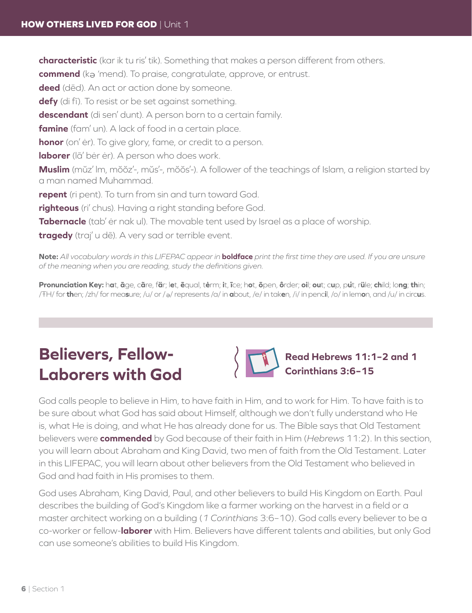**characteristic** (kar ik tu ris' tik). Something that makes a person different from others.

**commend** (ka 'mend). To praise, congratulate, approve, or entrust.

**deed** (dēd). An act or action done by someone.

**defy** (di fī). To resist or be set against something.

**descendant** (di sen' dunt). A person born to a certain family.

**famine** (fam' un). A lack of food in a certain place.

**honor** (on' ėr). To give glory, fame, or credit to a person.

**laborer** (lā' bėr ėr). A person who does work.

**Muslim** (mŭz' lm, mŏŏz'-, mŭs'-, mŏŏs'-). A follower of the teachings of Islam, a religion started by a man named Muhammad.

**repent** (ri pent). To turn from sin and turn toward God.

**righteous** (ri' chus). Having a right standing before God.

**Tabernacle** (tab' ėr nak ul). The movable tent used by Israel as a place of worship.

**tragedy** (traj' u dē). A very sad or terrible event.

**Note:** *All vocabulary words in this LIFEPAC appear in* **boldface** *print the first time they are used. If you are unsure of the meaning when you are reading, study the definitions given.*

Pronunciation Key: hat, āge, cãre, fär; let, ēqual, tėrm; it, īce; hot, ōpen, ôrder; oil; out; cup, put, rüle; child; long; thin; /ŦH/ for **th**en; /zh/ for mea**s**ure; /u/ or / <sup>e</sup> / represents /a/ in **a**bout, /e/ in tak**e**n, /i/ in penc**i**l, /o/ in lem**o**n, and /u/ in circ**u**s.

### **Believers, Fellow-Laborers with God**



**Read Hebrews 11:1–2 and 1 Corinthians 3:6–15**

God calls people to believe in Him, to have faith in Him, and to work for Him. To have faith is to be sure about what God has said about Himself, although we don't fully understand who He is, what He is doing, and what He has already done for us. The Bible says that Old Testament believers were **commended** by God because of their faith in Him (*Hebrews* 11:2). In this section, you will learn about Abraham and King David, two men of faith from the Old Testament. Later in this LIFEPAC, you will learn about other believers from the Old Testament who believed in God and had faith in His promises to them.

God uses Abraham, King David, Paul, and other believers to build His Kingdom on Earth. Paul describes the building of God's Kingdom like a farmer working on the harvest in a field or a master architect working on a building (*1 Corinthians* 3:6–10). God calls every believer to be a co-worker or fellow-**laborer** with Him. Believers have different talents and abilities, but only God can use someone's abilities to build His Kingdom.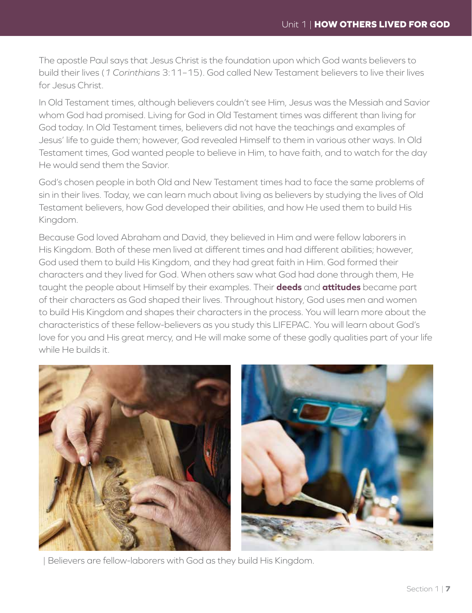The apostle Paul says that Jesus Christ is the foundation upon which God wants believers to build their lives (*1 Corinthians* 3:11–15). God called New Testament believers to live their lives for Jesus Christ.

In Old Testament times, although believers couldn't see Him, Jesus was the Messiah and Savior whom God had promised. Living for God in Old Testament times was different than living for God today. In Old Testament times, believers did not have the teachings and examples of Jesus' life to guide them; however, God revealed Himself to them in various other ways. In Old Testament times, God wanted people to believe in Him, to have faith, and to watch for the day He would send them the Savior.

God's chosen people in both Old and New Testament times had to face the same problems of sin in their lives. Today, we can learn much about living as believers by studying the lives of Old Testament believers, how God developed their abilities, and how He used them to build His Kingdom.

Because God loved Abraham and David, they believed in Him and were fellow laborers in His Kingdom. Both of these men lived at different times and had different abilities; however, God used them to build His Kingdom, and they had great faith in Him. God formed their characters and they lived for God. When others saw what God had done through them, He taught the people about Himself by their examples. Their **deeds** and **attitudes** became part of their characters as God shaped their lives. Throughout history, God uses men and women to build His Kingdom and shapes their characters in the process. You will learn more about the characteristics of these fellow-believers as you study this LIFEPAC. You will learn about God's love for you and His great mercy, and He will make some of these godly qualities part of your life while He builds it.



| Believers are fellow-laborers with God as they build His Kingdom.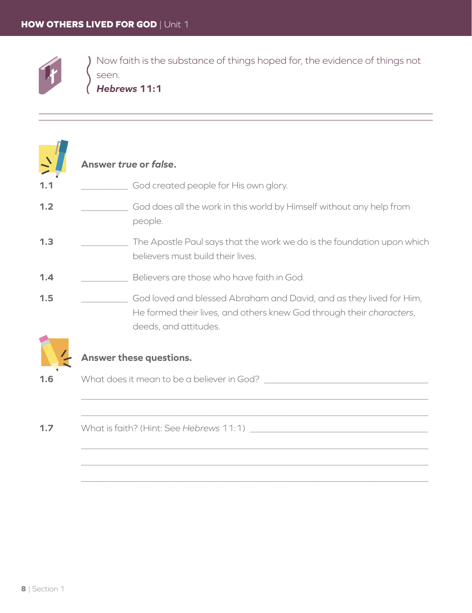

Now faith is the substance of things hoped for, the evidence of things not seen.

Hebrews 11:1

|     | Answer true or false.                                                                                                                                                |
|-----|----------------------------------------------------------------------------------------------------------------------------------------------------------------------|
| 1.1 | God created people for His own glory.                                                                                                                                |
| 1.2 | God does all the work in this world by Himself without any help from<br>people.                                                                                      |
| 1.3 | The Apostle Paul says that the work we do is the foundation upon which<br>believers must build their lives.                                                          |
| 1.4 | Believers are those who have faith in God.                                                                                                                           |
| 1.5 | God loved and blessed Abraham and David, and as they lived for Him,<br>He formed their lives, and others knew God through their characters,<br>deeds, and attitudes. |
|     | Answer these questions.                                                                                                                                              |
| 1.6 | What does it mean to be a believer in God?                                                                                                                           |
|     |                                                                                                                                                                      |
|     |                                                                                                                                                                      |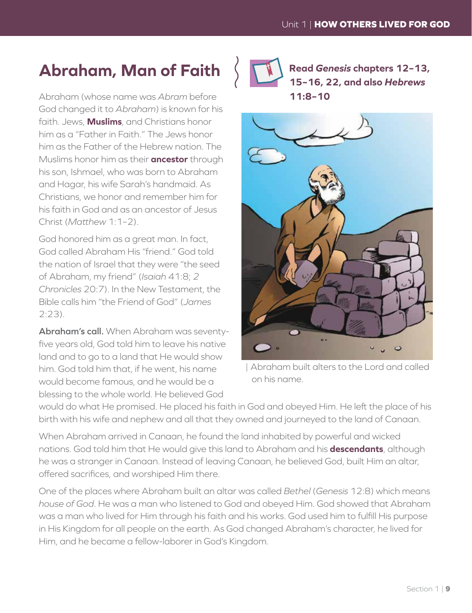#### **Abraham, Man of Faith**

Abraham (whose name was *Abram* before God changed it to *Abraham*) is known for his faith. Jews, **Muslims**, and Christians honor him as a "Father in Faith." The Jews honor him as the Father of the Hebrew nation. The Muslims honor him as their **ancestor** through his son, Ishmael, who was born to Abraham and Hagar, his wife Sarah's handmaid. As Christians, we honor and remember him for his faith in God and as an ancestor of Jesus Christ (*Matthew* 1:1–2).

God honored him as a great man. In fact, God called Abraham His "friend." God told the nation of Israel that they were "the seed of Abraham, my friend" (*Isaiah* 41:8; *2 Chronicles* 20:7). In the New Testament, the Bible calls him "the Friend of God" (*James* 2:23).

**Abraham's call.** When Abraham was seventyfive years old, God told him to leave his native land and to go to a land that He would show him. God told him that, if he went, his name would become famous, and he would be a blessing to the whole world. He believed God



**Read** *Genesis* **chapters 12–13, 15–16, 22, and also** *Hebrews* **11:8–10**



| Abraham built alters to the Lord and called on his name.

would do what He promised. He placed his faith in God and obeyed Him. He left the place of his birth with his wife and nephew and all that they owned and journeyed to the land of Canaan.

When Abraham arrived in Canaan, he found the land inhabited by powerful and wicked nations. God told him that He would give this land to Abraham and his **descendants**, although he was a stranger in Canaan. Instead of leaving Canaan, he believed God, built Him an altar, offered sacrifices, and worshiped Him there.

One of the places where Abraham built an altar was called *Bethel* (*Genesis* 12:8) which means *house of God*. He was a man who listened to God and obeyed Him. God showed that Abraham was a man who lived for Him through his faith and his works. God used him to fulfill His purpose in His Kingdom for all people on the earth. As God changed Abraham's character, he lived for Him, and he became a fellow-laborer in God's Kingdom.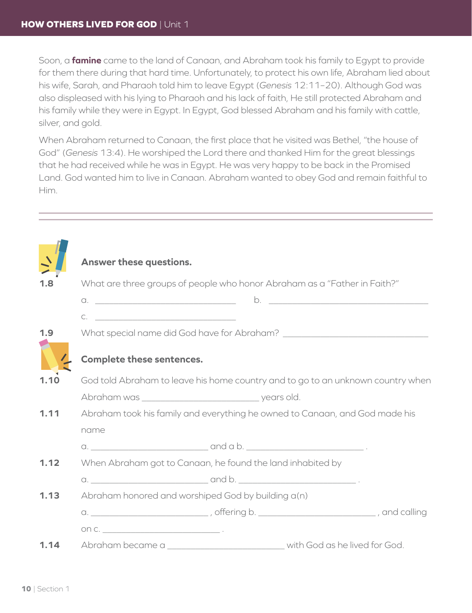Soon, a **famine** came to the land of Canaan, and Abraham took his family to Egypt to provide for them there during that hard time. Unfortunately, to protect his own life, Abraham lied about his wife, Sarah, and Pharaoh told him to leave Egypt (*Genesis* 12:11–20). Although God was also displeased with his lying to Pharaoh and his lack of faith, He still protected Abraham and his family while they were in Egypt. In Egypt, God blessed Abraham and his family with cattle, silver, and gold.

When Abraham returned to Canaan, the first place that he visited was Bethel, "the house of God" (*Genesis* 13:4). He worshiped the Lord there and thanked Him for the great blessings that he had received while he was in Egypt. He was very happy to be back in the Promised Land. God wanted him to live in Canaan. Abraham wanted to obey God and remain faithful to Him.

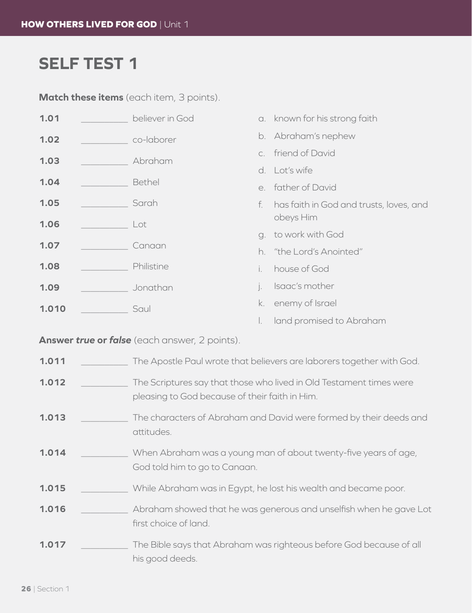### **SELF TEST 1**

Match these items (each item, 3 points).

| 1.01  | believer in God |                  | a. known for his strong faith           |
|-------|-----------------|------------------|-----------------------------------------|
| 1.02  | co-laborer      |                  | b. Abraham's nephew                     |
| 1.03  | Abraham         |                  | c. friend of David                      |
|       |                 |                  | d. Lot's wife                           |
| 1.04  | Bethel          |                  | e. father of David                      |
| 1.05  | Sarah           | f.               | has faith in God and trusts, loves, and |
| 1.06  | Lot             |                  | obeys Him                               |
|       |                 |                  | g. to work with God                     |
| 1.07  | Canaan          |                  | h. "the Lord's Anointed"                |
| 1.08  | Philistine      | i.               | house of God                            |
| 1.09  | Jonathan        | $\overline{a}$ . | Isaac's mother                          |
| 1.010 | Saul            | k.               | enemy of Israel                         |

I. land promised to Abraham

Answer true or false (each answer, 2 points).

| 1.011 | The Apostle Paul wrote that believers are laborers together with God.                                                 |
|-------|-----------------------------------------------------------------------------------------------------------------------|
| 1.012 | The Scriptures say that those who lived in Old Testament times were<br>pleasing to God because of their faith in Him. |
| 1.013 | The characters of Abraham and David were formed by their deeds and<br>attitudes.                                      |
| 1.014 | When Abraham was a young man of about twenty-five years of age,<br>God told him to go to Canaan.                      |
| 1.015 | While Abraham was in Egypt, he lost his wealth and became poor.                                                       |
| 1.016 | Abraham showed that he was generous and unselfish when he gave Lot<br>first choice of land.                           |
| 1.017 | The Bible says that Abraham was righteous before God because of all<br>his good deeds.                                |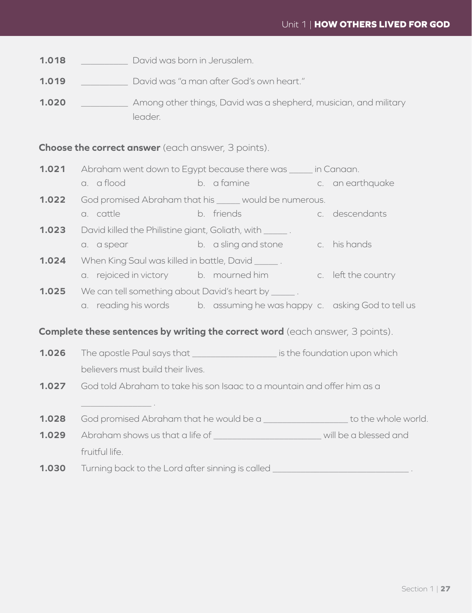#### Unit 1 | **HOW OTHERS LIVED FOR GOD**

**1.018 b** David was born in Jerusalem.

**1.019** ���������� David was "a man after God's own heart."

**1.020** ���������� Among other things, David was a shepherd, musician, and military leader.

**Choose the correct answer** (each answer, 3 points).

| 1.021<br>Abraham went down to Egypt because there was _____ in Canaan. |                                                                                                                                                                                                                                      |  |                                                                                                                 |                |  |
|------------------------------------------------------------------------|--------------------------------------------------------------------------------------------------------------------------------------------------------------------------------------------------------------------------------------|--|-----------------------------------------------------------------------------------------------------------------|----------------|--|
|                                                                        | a. a flood b. a famine c. an earthquake                                                                                                                                                                                              |  |                                                                                                                 |                |  |
| 1.022                                                                  | God promised Abraham that his _____ would be numerous.                                                                                                                                                                               |  |                                                                                                                 |                |  |
|                                                                        | a. cattle                                                                                                                                                                                                                            |  | b. friends                                                                                                      | c. descendants |  |
| 1.023                                                                  | David killed the Philistine giant, Goliath, with ______.                                                                                                                                                                             |  |                                                                                                                 |                |  |
|                                                                        | a. a spear                                                                                                                                                                                                                           |  | and the basis of the state of the basis of the state of the basis of the basis of the state of the basis of the |                |  |
| 1.024                                                                  | When King Saul was killed in battle, David ______.                                                                                                                                                                                   |  |                                                                                                                 |                |  |
|                                                                        | a. rejoiced in victory b. mourned him b c. left the country                                                                                                                                                                          |  |                                                                                                                 |                |  |
| 1.025                                                                  | We can tell something about David's heart by ______.                                                                                                                                                                                 |  |                                                                                                                 |                |  |
|                                                                        | a. reading his words b. assuming he was happy c. asking God to tell us                                                                                                                                                               |  |                                                                                                                 |                |  |
|                                                                        | <b>Complete these sentences by writing the correct word</b> (each answer, 3 points).                                                                                                                                                 |  |                                                                                                                 |                |  |
| 1.026                                                                  | The apostle Paul says that ____________________ is the foundation upon which                                                                                                                                                         |  |                                                                                                                 |                |  |
|                                                                        | believers must build their lives.                                                                                                                                                                                                    |  |                                                                                                                 |                |  |
| 1.027                                                                  | God told Abraham to take his son Isaac to a mountain and offer him as a                                                                                                                                                              |  |                                                                                                                 |                |  |
|                                                                        | <u> 1989 - John Harry Harry Harry Harry Harry Harry Harry Harry Harry Harry Harry Harry Harry Harry Harry Harry Harry Harry Harry Harry Harry Harry Harry Harry Harry Harry Harry Harry Harry Harry Harry Harry Harry Harry Harr</u> |  |                                                                                                                 |                |  |
| 1.028                                                                  | God promised Abraham that he would be a ______________________ to the whole world.                                                                                                                                                   |  |                                                                                                                 |                |  |
| 1.029                                                                  | Abraham shows us that a life of _______________________________ will be a blessed and                                                                                                                                                |  |                                                                                                                 |                |  |
|                                                                        | fruitful life.                                                                                                                                                                                                                       |  |                                                                                                                 |                |  |
| 1.030                                                                  | Turning back to the Lord after sinning is called _______________________________                                                                                                                                                     |  |                                                                                                                 |                |  |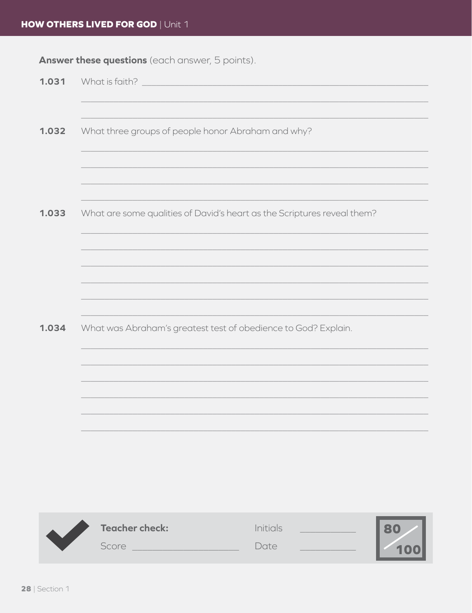#### **HOW OTHERS LIVED FOR GOD | Unit 1**

Answer these questions (each answer, 5 points).

| 1.031 | What is faith?                                                          |
|-------|-------------------------------------------------------------------------|
|       |                                                                         |
|       |                                                                         |
| 1.032 | What three groups of people honor Abraham and why?                      |
|       |                                                                         |
|       |                                                                         |
|       |                                                                         |
| 1.033 | What are some qualities of David's heart as the Scriptures reveal them? |
|       |                                                                         |
|       |                                                                         |
|       |                                                                         |
|       |                                                                         |
|       |                                                                         |
| 1.034 | What was Abraham's greatest test of obedience to God? Explain.          |
|       |                                                                         |
|       |                                                                         |
|       |                                                                         |
|       |                                                                         |
|       |                                                                         |